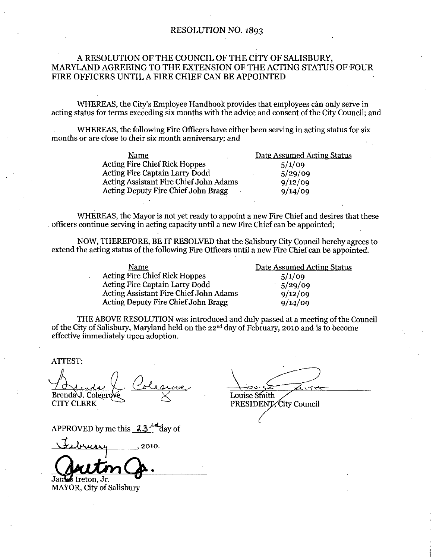### RESOLUTION NO. 1893

## A RESOLUTION OF THE COUNCIL OF THE CITY OF SALISBURY MARYLAND AGREEING TO THE EXTENSION OF THEACTING STATUS OF FOUR FIRE OFFICERS UNTIL A FIRE CHIEF CAN BE APPOINTED

WHEREAS, the City's Employee Handbook provides that employees can only serve in<br>acting status for terms exceeding six months with the advice and consent of the City Council; and

WHEREAS, the following Fire Officers have either been serving in acting status for six

| months or are close to their six month anniversary; and |                            |
|---------------------------------------------------------|----------------------------|
| Name                                                    | Date Assumed Acting Status |
| <b>Acting Fire Chief Rick Hoppes</b>                    | 5/1/09                     |
| Acting Fire Captain Larry Dodd                          | 5/29/09                    |
| Acting Assistant Fire Chief John Adams                  | 9/12/09                    |
| Acting Deputy Fire Chief John Bragg                     | 9/14/09                    |
|                                                         |                            |
|                                                         |                            |

WHEREAS, the Mayor is not yet ready to appoint a new Fire Chief and desires that these officers continue serving in acting capacity until a new Fire Chief can be appointed;

NOW, THEREFORE, BE IT RESOLVED that the Salisbury City Council hereby agrees to

| Name                                       | Date Assumed Acting Status |
|--------------------------------------------|----------------------------|
| <b>Acting Fire Chief Rick Hoppes</b>       | 5/1/09                     |
| Acting Fire Captain Larry Dodd             | 5/29/09                    |
| Acting Assistant Fire Chief John Adams     | 9/12/09                    |
| <b>Acting Deputy Fire Chief John Bragg</b> | 9/14/09                    |

THE ABOVE RESOLUTION was introduced and duly passed at <sup>a</sup> meeting ofthe Council of the City of Salisbury, Maryland held on the  $22<sup>nd</sup>$  day of February, 2010 and is to become effective immediately upon adoption

ATTEST

Brenda J. Colegrove<br>CITY CLERK

APPROVED by me this  $23\frac{\text{kg}}{\text{day of}}$ 

2010

Jek Ireton Jr MAYOR, City of Salisbury

Louise Smith

PRESIDENT City Council